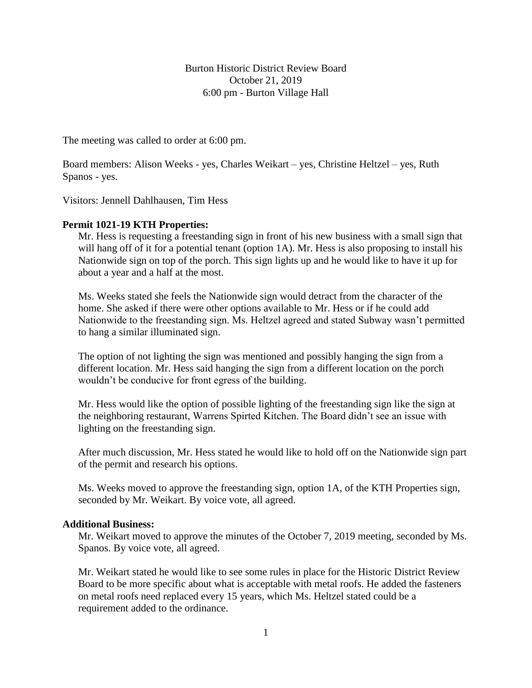Burton Historic District Review Board October 21, 2019 6:00 pm - Burton Village Hall

The meeting was called to order at 6:00 pm.

Board members: Alison Weeks - yes, Charles Weikart – yes, Christine Heltzel – yes, Ruth Spanos - yes.

Visitors: Jennell Dahlhausen, Tim Hess

## **Permit 1021-19 KTH Properties:**

Mr. Hess is requesting a freestanding sign in front of his new business with a small sign that will hang off of it for a potential tenant (option 1A). Mr. Hess is also proposing to install his Nationwide sign on top of the porch. This sign lights up and he would like to have it up for about a year and a half at the most.

Ms. Weeks stated she feels the Nationwide sign would detract from the character of the home. She asked if there were other options available to Mr. Hess or if he could add Nationwide to the freestanding sign. Ms. Heltzel agreed and stated Subway wasn't permitted to hang a similar illuminated sign.

The option of not lighting the sign was mentioned and possibly hanging the sign from a different location. Mr. Hess said hanging the sign from a different location on the porch wouldn't be conducive for front egress of the building.

Mr. Hess would like the option of possible lighting of the freestanding sign like the sign at the neighboring restaurant, Warrens Spirted Kitchen. The Board didn't see an issue with lighting on the freestanding sign.

After much discussion, Mr. Hess stated he would like to hold off on the Nationwide sign part of the permit and research his options.

Ms. Weeks moved to approve the freestanding sign, option 1A, of the KTH Properties sign, seconded by Mr. Weikart. By voice vote, all agreed.

## **Additional Business:**

Mr. Weikart moved to approve the minutes of the October 7, 2019 meeting, seconded by Ms. Spanos. By voice vote, all agreed.

Mr. Weikart stated he would like to see some rules in place for the Historic District Review Board to be more specific about what is acceptable with metal roofs. He added the fasteners on metal roofs need replaced every 15 years, which Ms. Heltzel stated could be a requirement added to the ordinance.